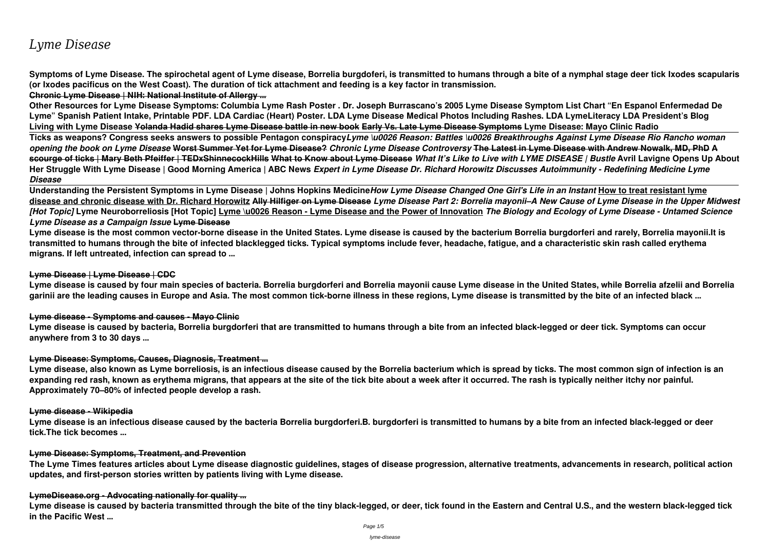# *Lyme Disease*

**Symptoms of Lyme Disease. The spirochetal agent of Lyme disease, Borrelia burgdoferi, is transmitted to humans through a bite of a nymphal stage deer tick Ixodes scapularis (or Ixodes pacificus on the West Coast). The duration of tick attachment and feeding is a key factor in transmission. Chronic Lyme Disease | NIH: National Institute of Allergy ...**

**Other Resources for Lyme Disease Symptoms: Columbia Lyme Rash Poster . Dr. Joseph Burrascano's 2005 Lyme Disease Symptom List Chart "En Espanol Enfermedad De Lyme" Spanish Patient Intake, Printable PDF. LDA Cardiac (Heart) Poster. LDA Lyme Disease Medical Photos Including Rashes. LDA LymeLiteracy LDA President's Blog Living with Lyme Disease Yolanda Hadid shares Lyme Disease battle in new book Early Vs. Late Lyme Disease Symptoms Lyme Disease: Mayo Clinic Radio Ticks as weapons? Congress seeks answers to possible Pentagon conspiracy***Lyme \u0026 Reason: Battles \u0026 Breakthroughs Against Lyme Disease Rio Rancho woman opening the book on Lyme Disease* **Worst Summer Yet for Lyme Disease?** *Chronic Lyme Disease Controversy* **The Latest in Lyme Disease with Andrew Nowalk, MD, PhD A scourge of ticks | Mary Beth Pfeiffer | TEDxShinnecockHills What to Know about Lyme Disease** *What It's Like to Live with LYME DISEASE | Bustle* **Avril Lavigne Opens Up About Her Struggle With Lyme Disease | Good Morning America | ABC News** *Expert in Lyme Disease Dr. Richard Horowitz Discusses Autoimmunity - Redefining Medicine Lyme Disease*

**Understanding the Persistent Symptoms in Lyme Disease | Johns Hopkins Medicine***How Lyme Disease Changed One Girl's Life in an Instant* **How to treat resistant lyme disease and chronic disease with Dr. Richard Horowitz Ally Hilfiger on Lyme Disease** *Lyme Disease Part 2: Borrelia mayonii–A New Cause of Lyme Disease in the Upper Midwest [Hot Topic]* **Lyme Neuroborreliosis [Hot Topic] Lyme \u0026 Reason - Lyme Disease and the Power of Innovation** *The Biology and Ecology of Lyme Disease - Untamed Science Lyme Disease as a Campaign Issue* **Lyme Disease**

**Lyme disease is the most common vector-borne disease in the United States. Lyme disease is caused by the bacterium Borrelia burgdorferi and rarely, Borrelia mayonii.It is transmitted to humans through the bite of infected blacklegged ticks. Typical symptoms include fever, headache, fatigue, and a characteristic skin rash called erythema migrans. If left untreated, infection can spread to ...**

### **Lyme Disease | Lyme Disease | CDC**

**Lyme disease is caused by four main species of bacteria. Borrelia burgdorferi and Borrelia mayonii cause Lyme disease in the United States, while Borrelia afzelii and Borrelia garinii are the leading causes in Europe and Asia. The most common tick-borne illness in these regions, Lyme disease is transmitted by the bite of an infected black ...**

### **Lyme disease - Symptoms and causes - Mayo Clinic**

**Lyme disease is caused by bacteria, Borrelia burgdorferi that are transmitted to humans through a bite from an infected black-legged or deer tick. Symptoms can occur anywhere from 3 to 30 days ...**

### **Lyme Disease: Symptoms, Causes, Diagnosis, Treatment ...**

**Lyme disease, also known as Lyme borreliosis, is an infectious disease caused by the Borrelia bacterium which is spread by ticks. The most common sign of infection is an expanding red rash, known as erythema migrans, that appears at the site of the tick bite about a week after it occurred. The rash is typically neither itchy nor painful. Approximately 70–80% of infected people develop a rash.**

### **Lyme disease - Wikipedia**

**Lyme disease is an infectious disease caused by the bacteria Borrelia burgdorferi.B. burgdorferi is transmitted to humans by a bite from an infected black-legged or deer tick.The tick becomes ...**

### **Lyme Disease: Symptoms, Treatment, and Prevention**

**The Lyme Times features articles about Lyme disease diagnostic guidelines, stages of disease progression, alternative treatments, advancements in research, political action updates, and first-person stories written by patients living with Lyme disease.**

### **LymeDisease.org - Advocating nationally for quality ...**

**Lyme disease is caused by bacteria transmitted through the bite of the tiny black-legged, or deer, tick found in the Eastern and Central U.S., and the western black-legged tick in the Pacific West ...**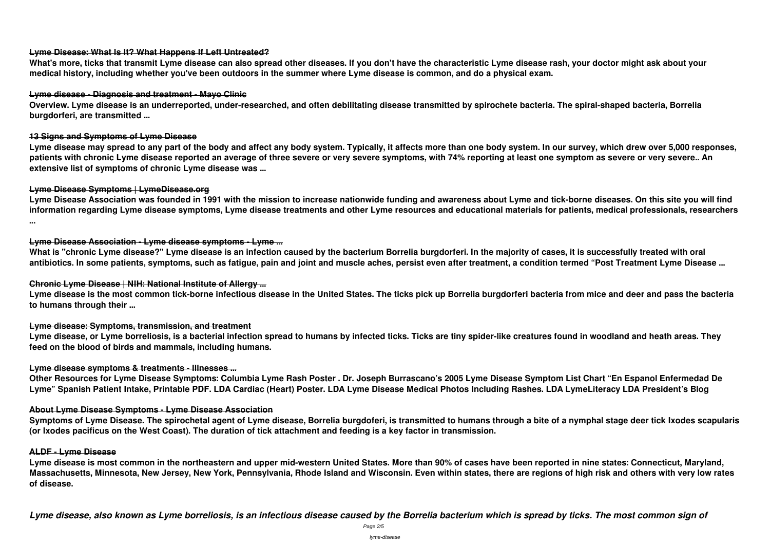## **Lyme Disease: What Is It? What Happens If Left Untreated?**

**What's more, ticks that transmit Lyme disease can also spread other diseases. If you don't have the characteristic Lyme disease rash, your doctor might ask about your medical history, including whether you've been outdoors in the summer where Lyme disease is common, and do a physical exam.**

## **Lyme disease - Diagnosis and treatment - Mayo Clinic**

**Overview. Lyme disease is an underreported, under-researched, and often debilitating disease transmitted by spirochete bacteria. The spiral-shaped bacteria, Borrelia burgdorferi, are transmitted ...**

## **13 Signs and Symptoms of Lyme Disease**

**Lyme disease may spread to any part of the body and affect any body system. Typically, it affects more than one body system. In our survey, which drew over 5,000 responses, patients with chronic Lyme disease reported an average of three severe or very severe symptoms, with 74% reporting at least one symptom as severe or very severe.. An extensive list of symptoms of chronic Lyme disease was ...**

## **Lyme Disease Symptoms | LymeDisease.org**

**Lyme Disease Association was founded in 1991 with the mission to increase nationwide funding and awareness about Lyme and tick-borne diseases. On this site you will find information regarding Lyme disease symptoms, Lyme disease treatments and other Lyme resources and educational materials for patients, medical professionals, researchers ...**

## **Lyme Disease Association - Lyme disease symptoms - Lyme ...**

**What is "chronic Lyme disease?" Lyme disease is an infection caused by the bacterium Borrelia burgdorferi. In the majority of cases, it is successfully treated with oral antibiotics. In some patients, symptoms, such as fatigue, pain and joint and muscle aches, persist even after treatment, a condition termed "Post Treatment Lyme Disease ...**

## **Chronic Lyme Disease | NIH: National Institute of Allergy ...**

**Lyme disease is the most common tick-borne infectious disease in the United States. The ticks pick up Borrelia burgdorferi bacteria from mice and deer and pass the bacteria to humans through their ...**

## **Lyme disease: Symptoms, transmission, and treatment**

**Lyme disease, or Lyme borreliosis, is a bacterial infection spread to humans by infected ticks. Ticks are tiny spider-like creatures found in woodland and heath areas. They feed on the blood of birds and mammals, including humans.**

## **Lyme disease symptoms & treatments - Illnesses ...**

**Other Resources for Lyme Disease Symptoms: Columbia Lyme Rash Poster . Dr. Joseph Burrascano's 2005 Lyme Disease Symptom List Chart "En Espanol Enfermedad De Lyme" Spanish Patient Intake, Printable PDF. LDA Cardiac (Heart) Poster. LDA Lyme Disease Medical Photos Including Rashes. LDA LymeLiteracy LDA President's Blog**

## **About Lyme Disease Symptoms - Lyme Disease Association**

**Symptoms of Lyme Disease. The spirochetal agent of Lyme disease, Borrelia burgdoferi, is transmitted to humans through a bite of a nymphal stage deer tick Ixodes scapularis (or Ixodes pacificus on the West Coast). The duration of tick attachment and feeding is a key factor in transmission.**

## **ALDF - Lyme Disease**

**Lyme disease is most common in the northeastern and upper mid-western United States. More than 90% of cases have been reported in nine states: Connecticut, Maryland, Massachusetts, Minnesota, New Jersey, New York, Pennsylvania, Rhode Island and Wisconsin. Even within states, there are regions of high risk and others with very low rates of disease.**

*Lyme disease, also known as Lyme borreliosis, is an infectious disease caused by the Borrelia bacterium which is spread by ticks. The most common sign of*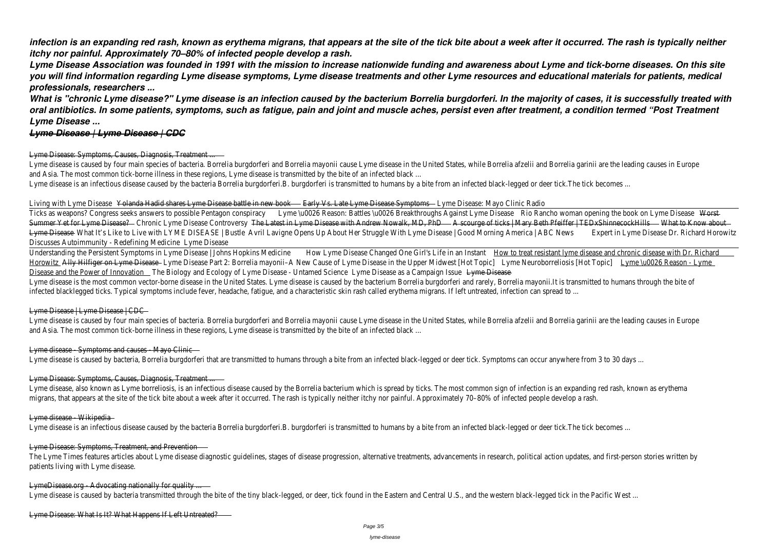*infection is an expanding red rash, known as erythema migrans, that appears at the site of the tick bite about a week after it occurred. The rash is typically neither itchy nor painful. Approximately 70–80% of infected people develop a rash.*

*Lyme Disease Association was founded in 1991 with the mission to increase nationwide funding and awareness about Lyme and tick-borne diseases. On this site you will find information regarding Lyme disease symptoms, Lyme disease treatments and other Lyme resources and educational materials for patients, medical professionals, researchers ...*

Lyme disease is caused by four main species of bacteria. Borrelia burgdorferi and Borrelia mayonii cause Lyme disease in the United States, while Borrelia afzelii and Borrelia garinii are the leading and Asia. The most common tick-borne illness in these regions, Lyme disease is transmitted by the bite of an infected black ...

Lyme disease is an infectious disease caused by the bacteria Borrelia burgdorferi.B. burgdorferi is transmitted to humans by a bite from an infected black-legged or deer tick.The tick becomes ...

### Living with Lyme Diseas Chanda Hadid shares Lyme Disease battle in new Each wist. Late Lyme Disease Symptom sne Disease: Mayo Clinic Radio

Ticks as weapons? Congress seeks answers to possible PentagonLgomspirancy Reason: Battles \u0026 Breakthroughs Against Lyme Ranche as weapons? Congress seeks answers to possible PentagonLgomspiracy Reason: Battles \u0026 B Summer Yet for Lyme Diseas@ ? Chronic Lyme Disease Controv<del>@hgy Latest in Lyme Disease with Andrew Nowalk, MDA Roburge of ticks | Mary Beth Pfeiffer | TEDx Shinneco A Khat the Know about</del> Lyme Diseas&What It's Like to Live with LYME DISEASE | Bustle Lavigne Opens Up About Her Struggle With Lyme Disease | Good Morning America | AB&pNetwin Lyme Disease Dr. Richard Horowitz Discusses Autoimmunity - Redefining Medicine Disease

Understanding the Persistent Symptoms in Lyme Disease | Johns Hopkins How digime Disease Changed One Girl's Life in an Instanto treat resistant lyme disease and chronic disease with Dr. Richard HorowitzAlly Hilfiger on Lyme Diseasdyme Disease Part 2: Borrelia mayonii-A New Cause of Lyme Disease in the Upper Midwest riteont diamoborreliosis [Hot Toplo] me \u0026 Reason - Lyme Disease and the Power of Innovalthen Biology and Ecology of Lyme Disease - Untamed Scrienclesse as a Campaign Issue Disease

Lyme disease is the most common vector-borne disease in the United States. Lyme disease is caused by the bacterium Borrelia burgdorferi and rarely, Borrelia mayonii.It is transmitted to humans infected blacklegged ticks. Typical symptoms include fever, headache, fatigue, and a characteristic skin rash called erythema migrans. If left untreated, infection can spread to ...

*What is "chronic Lyme disease?" Lyme disease is an infection caused by the bacterium Borrelia burgdorferi. In the majority of cases, it is successfully treated with oral antibiotics. In some patients, symptoms, such as fatigue, pain and joint and muscle aches, persist even after treatment, a condition termed "Post Treatment Lyme Disease ...*

### *Lyme Disease | Lyme Disease | CDC*

### Lyme Disease: Symptoms, Causes, Diagnosis, Treatment ...

Lyme disease is caused by four main species of bacteria. Borrelia burgdorferi and Borrelia mayonii cause Lyme disease in the United States, while Borrelia afzelii and Borrelia garinii are the leading and Asia. The most common tick-borne illness in these regions, Lyme disease is transmitted by the bite of an infected black ...

### Lyme disease - Symptoms and causes - Mayo Clinic

Lyme disease is caused by bacteria, Borrelia burgdorferi that are transmitted to humans through a bite from an infected black-legged or deer tick. Symptoms can occur anywhere from 3 to 30 d

Lyme disease, also known as Lyme borreliosis, is an infectious disease caused by the Borrelia bacterium which is spread by ticks. The most common sign of infection is an expanding red rash, kno migrans, that appears at the site of the tick bite about a week after it occurred. The rash is typically neither itchy nor painful. Approximately 70–80% of infected people develop a rash.

### Lyme disease Wikipedia

Lyme disease is an infectious disease caused by the bacteria Borrelia burgdorferi.B. burgdorferi is transmitted to humans by a bite from an infected black-legged or deer tick.The tick becomes ...

The Lyme Times features articles about Lyme disease diagnostic guidelines, stages of disease progression, alternative treatments, advancements in research, political action updates, and first-per patients living with Lyme disease.

### LymeDisease.org Advocating nationally for quality ...

Lyme disease is caused by bacteria transmitted through the bite of the tiny black-legged, or deer, tick found in the Eastern and Central U.S., and the western black-legged tick in the Pacific West ...

### Lyme Disease | Lyme Disease | CDC

### Lyme Disease: Symptoms, Causes, Diagnosis, Treatment ...

### Lyme Disease: Symptoms, Treatment, and Prevention

Lyme Disease: What Is It? What Happens If Left Untreated?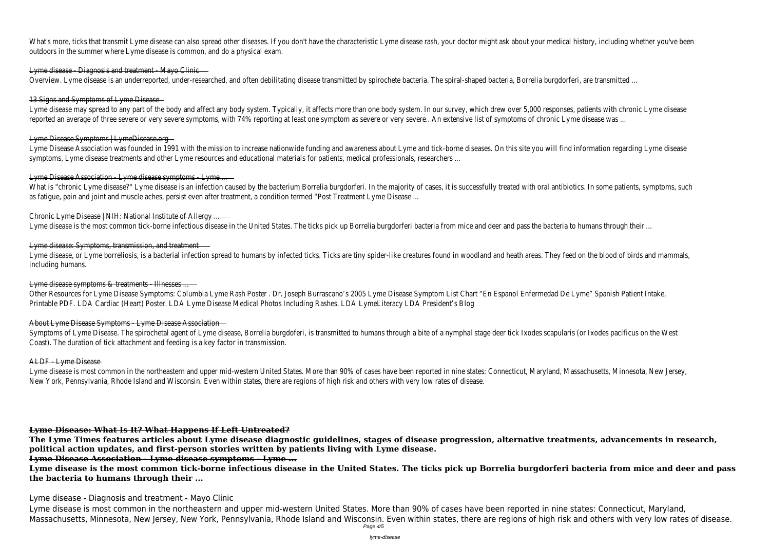What's more, ticks that transmit Lyme disease can also spread other diseases. If you don't have the characteristic Lyme disease rash, your doctor might ask about your medical history, including outdoors in the summer where Lyme disease is common, and do a physical exam.

### Lyme disease - Diagnosis and treatment - Mayo Clinic

Overview. Lyme disease is an underreported, under-researched, and often debilitating disease transmitted by spirochete bacteria. The spiral-shaped bacteria, Borrelia burgdorferi, are transmitted

### 13 Signs and Symptoms of Lyme Disease

Lyme disease may spread to any part of the body and affect any body system. Typically, it affects more than one body system. In our survey, which drew over 5,000 responses, patients with ch reported an average of three severe or very severe symptoms, with 74% reporting at least one symptom as severe or very severe.. An extensive list of symptoms of chronic Lyme disease was ...

Lyme Disease Association was founded in 1991 with the mission to increase nationwide funding and awareness about Lyme and tick-borne diseases. On this site you will find information regarding and Lyme and tick-borne diseas symptoms, Lyme disease treatments and other Lyme resources and educational materials for patients, medical professionals, researchers ...

### Lyme Disease Association - Lyme disease symptoms - Lyme ...

What is "chronic Lyme disease?" Lyme disease is an infection caused by the bacterium Borrelia burgdorferi. In the majority of cases, it is successfully treated with oral antibiotics. In some patient as fatigue, pain and joint and muscle aches, persist even after treatment, a condition termed "Post Treatment Lyme Disease ...

### Lyme Disease Symptoms | LymeDisease.org

Lyme disease, or Lyme borreliosis, is a bacterial infection spread to humans by infected ticks. Ticks are tiny spider-like creatures found in woodland and heath areas. They feed on the blood of bir including humans.

### Lyme disease symptoms & treatments - Illnesses ...

Other Resources for Lyme Disease Symptoms: Columbia Lyme Rash Poster . Dr. Joseph Burrascano's 2005 Lyme Disease Symptom List Chart "En Espanol Enfermedad De Lyme" Spanish Patient Int Printable PDF. LDA Cardiac (Heart) Poster. LDA Lyme Disease Medical Photos Including Rashes. LDA LymeLiteracy LDA President's Blog

Symptoms of Lyme Disease. The spirochetal agent of Lyme disease, Borrelia burgdoferi, is transmitted to humans through a bite of a nymphal stage deer tick Ixodes scapularis (or Ixodes pacificus Coast). The duration of tick attachment and feeding is a key factor in transmission.

### ALDF Lyme Disease

Lyme disease is most common in the northeastern and upper mid-western United States. More than 90% of cases have been reported in nine states: Connecticut, Maryland, Massachusetts, Min New York, Pennsylvania, Rhode Island and Wisconsin. Even within states, there are regions of high risk and others with very low rates of disease.

### Chronic Lyme Disease | NIH: National Institute of Allergy ...

Lyme disease is the most common tick-borne infectious disease in the United States. The ticks pick up Borrelia burgdorferi bacteria from mice and deer and pass the bacteria to humans through

### Lyme disease: Symptoms, transmission, and treatment

### About Lyme Disease Symptoms - Lyme Disease Association

### **Lyme Disease: What Is It? What Happens If Left Untreated?**

**The Lyme Times features articles about Lyme disease diagnostic guidelines, stages of disease progression, alternative treatments, advancements in research, political action updates, and first-person stories written by patients living with Lyme disease.**

### **Lyme Disease Association - Lyme disease symptoms - Lyme ...**

**Lyme disease is the most common tick-borne infectious disease in the United States. The ticks pick up Borrelia burgdorferi bacteria from mice and deer and pass the bacteria to humans through their ...**

### Lyme disease - Diagnosis and treatment - Mayo Clinic

Lyme disease is most common in the northeastern and upper mid-western United States. More than 90% of cases have been reported in nine states: Connecticut, Maryland, Massachusetts, Minnesota, New Jersey, New York, Pennsylvania, Rhode Island and Wisconsin. Even within states, there are regions of high risk and others with very low rates of disease. Page 4/5